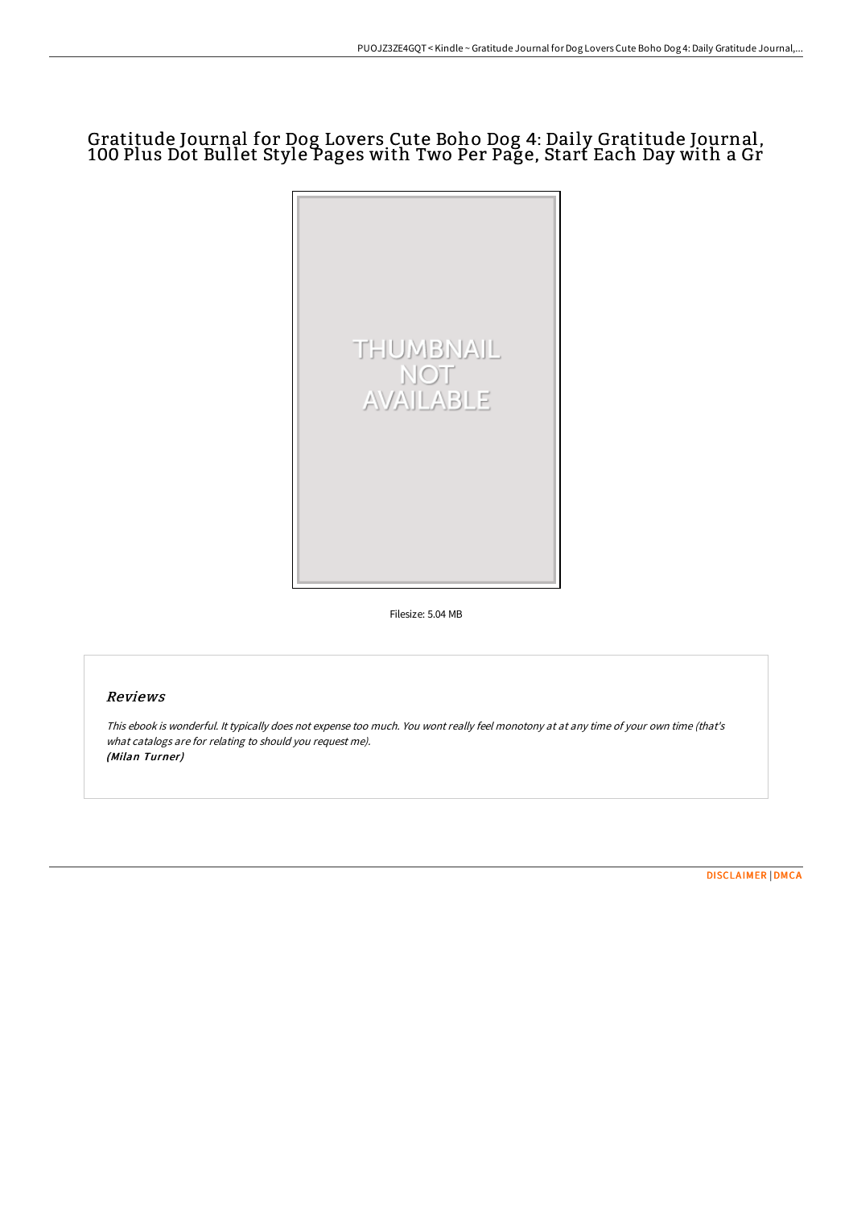## Gratitude Journal for Dog Lovers Cute Boho Dog 4: Daily Gratitude Journal, 100 Plus Dot Bullet Style Pages with Two Per Page, Start Each Day with a Gr



Filesize: 5.04 MB

## Reviews

This ebook is wonderful. It typically does not expense too much. You wont really feel monotony at at any time of your own time (that's what catalogs are for relating to should you request me). (Milan Turner)

[DISCLAIMER](http://techno-pub.tech/disclaimer.html) | [DMCA](http://techno-pub.tech/dmca.html)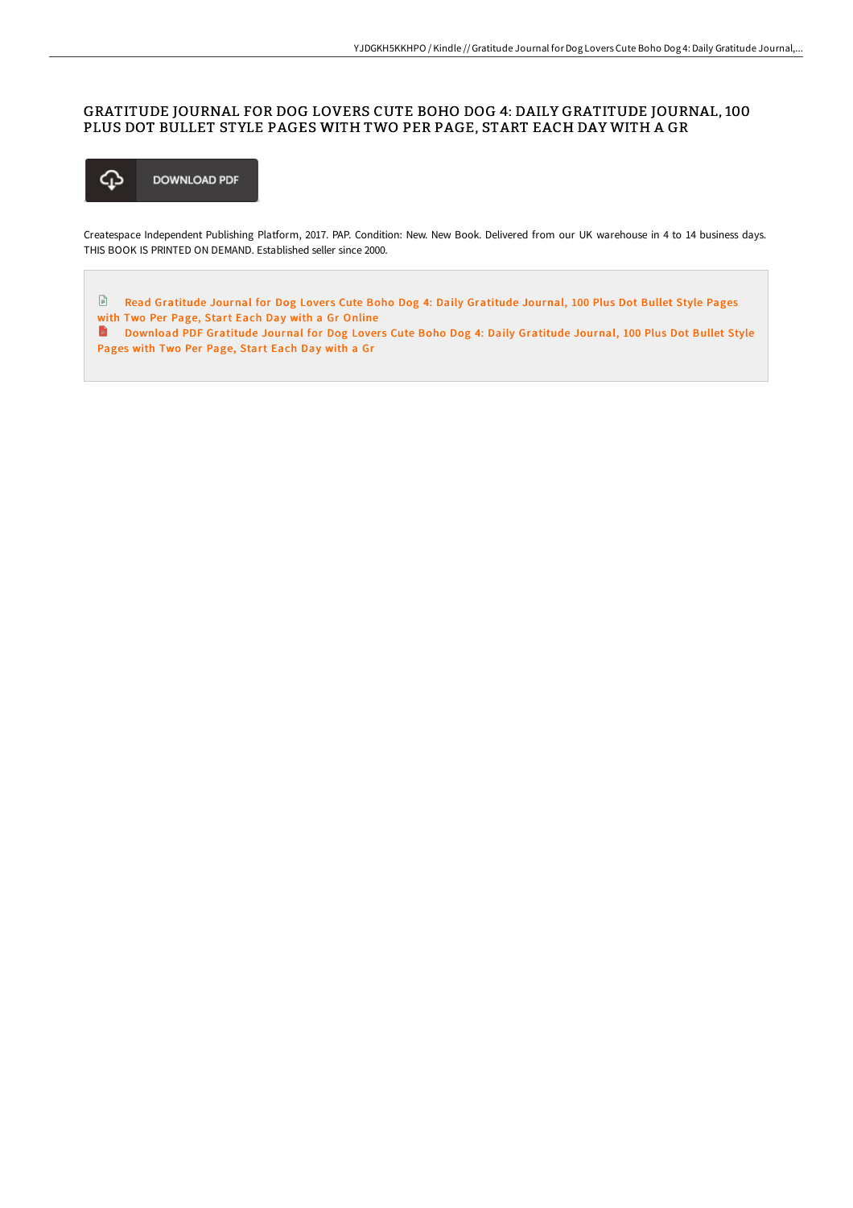## GRATITUDE JOURNAL FOR DOG LOVERS CUTE BOHO DOG 4: DAILY GRATITUDE JOURNAL, 100 PLUS DOT BULLET STYLE PAGES WITH TWO PER PAGE, START EACH DAY WITH A GR



Createspace Independent Publishing Platform, 2017. PAP. Condition: New. New Book. Delivered from our UK warehouse in 4 to 14 business days. THIS BOOK IS PRINTED ON DEMAND. Established seller since 2000.

 $\mathbf{r}$ Read [Gratitude](http://techno-pub.tech/gratitude-journal-for-dog-lovers-cute-boho-dog-4.html) Journal for Dog Lovers Cute Boho Dog 4: Daily Gratitude Journal, 100 Plus Dot Bullet Style Pages with Two Per Page, Start Each Day with a Gr Online

**D** [Download](http://techno-pub.tech/gratitude-journal-for-dog-lovers-cute-boho-dog-4.html) PDF Gratitude Journal for Dog Lovers Cute Boho Dog 4: Daily Gratitude Journal, 100 Plus Dot Bullet Style Pages with Two Per Page, Start Each Day with a Gr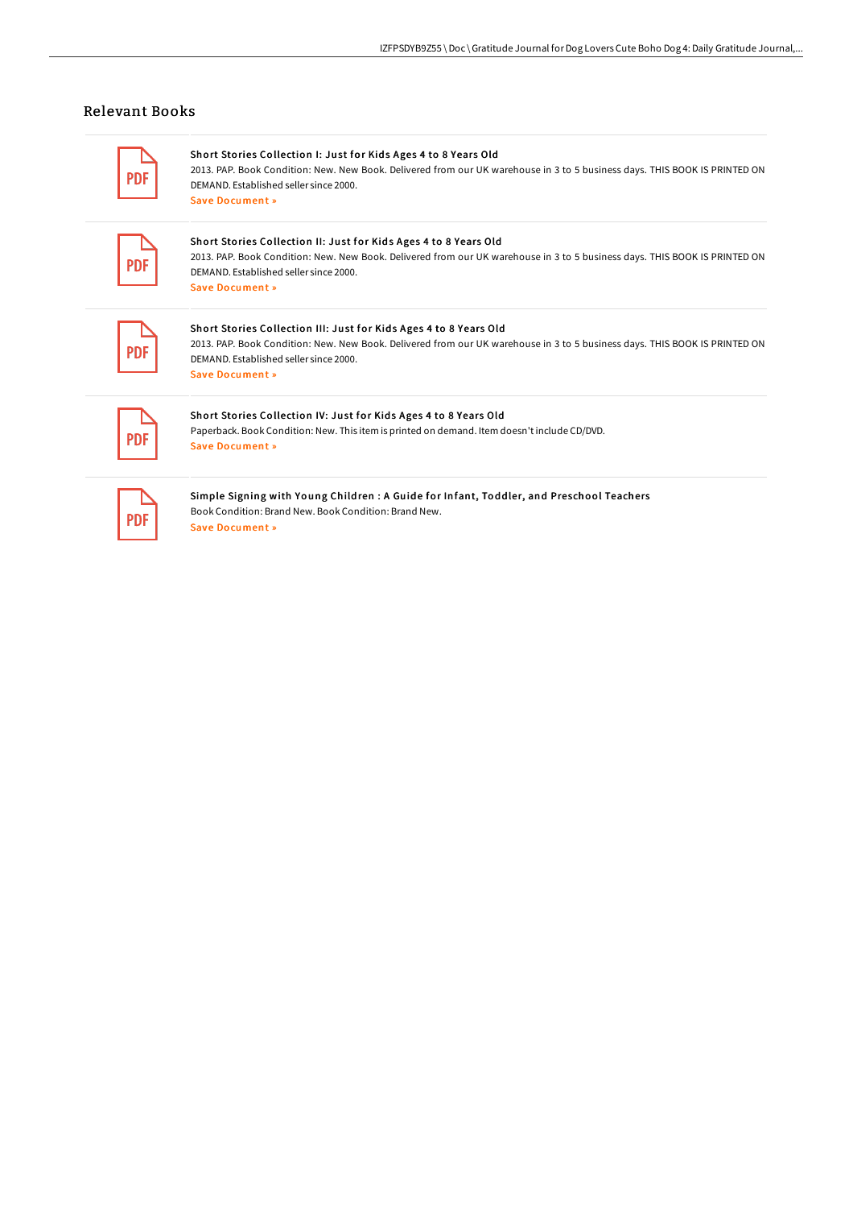## Relevant Books

 $\overline{\phantom{a}}$ 

| <b>PDF</b> | Short Stories Collection I: Just for Kids Ages 4 to 8 Years Old<br>2013. PAP. Book Condition: New. New Book. Delivered from our UK warehouse in 3 to 5 business days. THIS BOOK IS PRINTED ON<br>DEMAND, Established seller since 2000.<br>Save Document »   |
|------------|--------------------------------------------------------------------------------------------------------------------------------------------------------------------------------------------------------------------------------------------------------------|
| <b>PDF</b> | Short Stories Collection II: Just for Kids Ages 4 to 8 Years Old<br>2013. PAP. Book Condition: New. New Book. Delivered from our UK warehouse in 3 to 5 business days. THIS BOOK IS PRINTED ON<br>DEMAND, Established seller since 2000.<br>Save Document »  |
| <b>PDF</b> | Short Stories Collection III: Just for Kids Ages 4 to 8 Years Old<br>2013. PAP. Book Condition: New. New Book. Delivered from our UK warehouse in 3 to 5 business days. THIS BOOK IS PRINTED ON<br>DEMAND, Established seller since 2000.<br>Save Document » |
| <b>PDF</b> | Short Stories Collection IV: Just for Kids Ages 4 to 8 Years Old<br>Paperback. Book Condition: New. This item is printed on demand. Item doesn't include CD/DVD.<br>Save Document »                                                                          |
| <b>PDF</b> | Simple Signing with Young Children : A Guide for Infant, Toddler, and Preschool Teachers<br>Book Condition: Brand New, Book Condition: Brand New,<br>Save Document »                                                                                         |